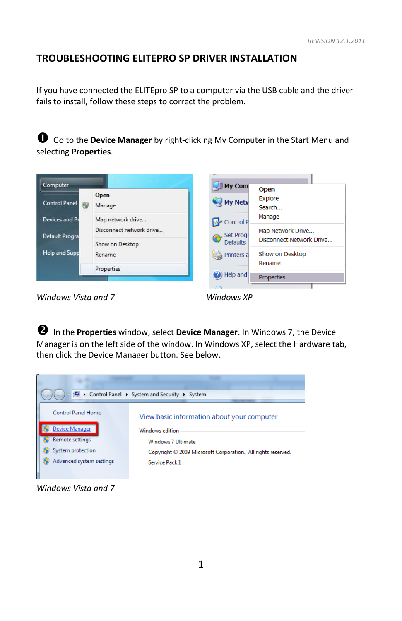## **TROUBLESHOOTING ELITEPRO SP DRIVER INSTALLATION**

If you have connected the ELITEpro SP to a computer via the USB cable and the driver fails to install, follow these steps to correct the problem.

 Go to the **Device Manager** by right-clicking My Computer in the Start Menu and selecting **Properties**.



*Windows Vista and 7 Windows XP* 

 In the **Properties** window, select **Device Manager**. In Windows 7, the Device Manager is on the left side of the window. In Windows XP, select the Hardware tab, then click the Device Manager button. See below.



*Windows Vista and 7*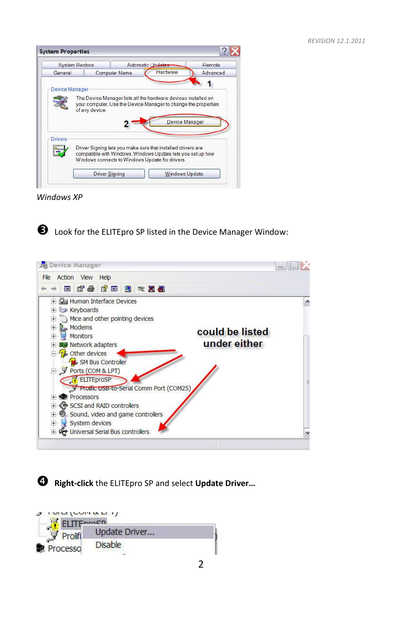

*Windows XP*



**B** Look for the ELITEpro SP listed in the Device Manager Window:



**Right-click** the ELITEpro SP and select **Update Driver…**